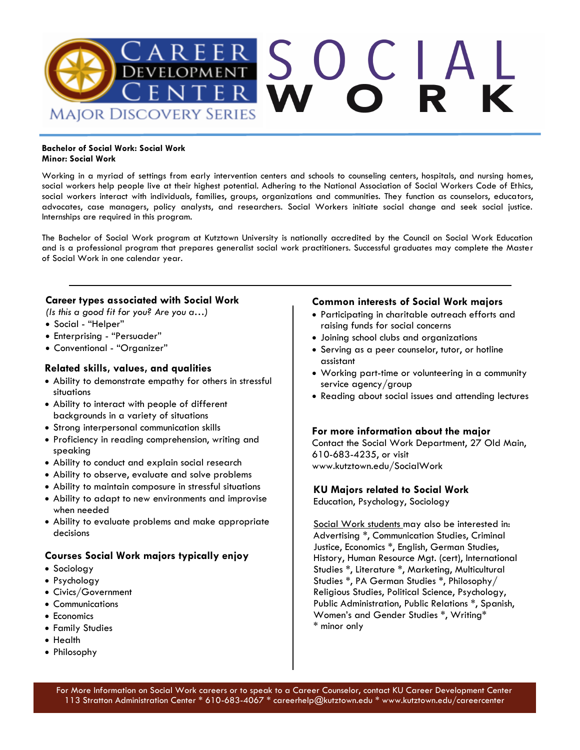

#### **Bachelor of Social Work: Social Work Minor: Social Work**

Working in a myriad of settings from early intervention centers and schools to counseling centers, hospitals, and nursing homes, social workers help people live at their highest potential. Adhering to the National Association of Social Workers Code of Ethics, social workers interact with individuals, families, groups, organizations and communities. They function as counselors, educators, advocates, case managers, policy analysts, and researchers. Social Workers initiate social change and seek social justice. Internships are required in this program.

The Bachelor of Social Work program at Kutztown University is nationally accredited by the Council on Social Work Education and is a professional program that prepares generalist social work practitioners. Successful graduates may complete the Master of Social Work in one calendar year.

### **Career types associated with Social Work**

*(Is this a good fit for you? Are you a…)* 

- Social "Helper"
- Enterprising "Persuader"
- Conventional "Organizer"

### **Related skills, values, and qualities**

- Ability to demonstrate empathy for others in stressful situations
- Ability to interact with people of different backgrounds in a variety of situations
- Strong interpersonal communication skills
- Proficiency in reading comprehension, writing and speaking
- Ability to conduct and explain social research
- Ability to observe, evaluate and solve problems
- Ability to maintain composure in stressful situations
- Ability to adapt to new environments and improvise when needed
- Ability to evaluate problems and make appropriate decisions

### **Courses Social Work majors typically enjoy**

- Sociology
- Psychology
- Civics/Government
- Communications
- Economics
- Family Studies
- Health
- Philosophy

### **Common interests of Social Work majors**

- Participating in charitable outreach efforts and raising funds for social concerns
- Joining school clubs and organizations
- Serving as a peer counselor, tutor, or hotline assistant
- Working part-time or volunteering in a community service agency/group
- Reading about social issues and attending lectures

### **For more information about the major**

Contact the Social Work Department, 27 Old Main, 610-683-4235, or visit www.kutztown.edu/SocialWork

### **KU Majors related to Social Work**

Education, Psychology, Sociology

Social Work students may also be interested in: Advertising \*, Communication Studies, Criminal Justice, Economics \*, English, German Studies, History, Human Resource Mgt. (cert), International Studies \*, Literature \*, Marketing, Multicultural Studies \*, PA German Studies \*, Philosophy/ Religious Studies, Political Science, Psychology, Public Administration, Public Relations \*, Spanish, Women's and Gender Studies \*, Writing\* \* minor only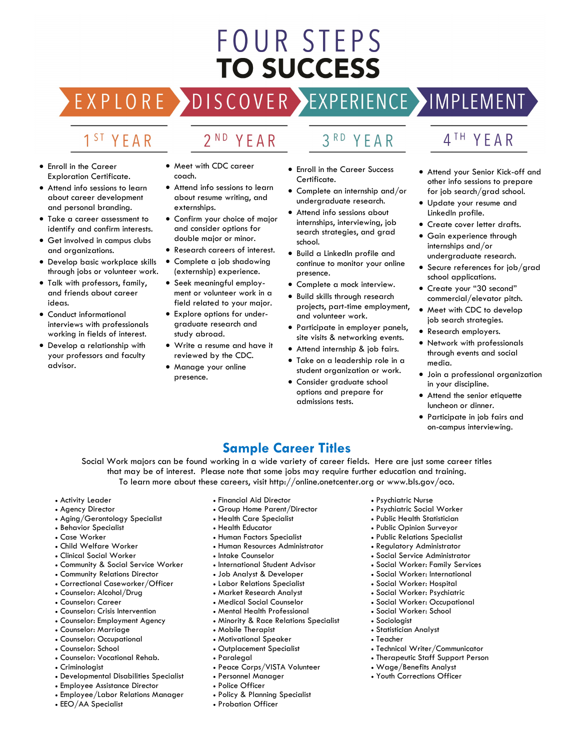# FOUR STEPS **TO SUCCESS**

# DISCOVER EXPERIENCE MOPLEMENT

2<sup>ND</sup> YEAR

# 1<sup>ST</sup> YEAR

EXPLORE >

- Enroll in the Career Exploration Certificate.
- Attend info sessions to learn about career development and personal branding.
- Take a career assessment to identify and confirm interests.
- Get involved in campus clubs and organizations.
- Develop basic workplace skills through jobs or volunteer work.
- Talk with professors, family, and friends about career ideas.
- Conduct informational interviews with professionals working in fields of interest.
- Develop a relationship with your professors and faculty advisor.
- Meet with CDC career coach.
- Attend info sessions to learn about resume writing, and externships.
- Confirm your choice of major and consider options for double major or minor.
- Research careers of interest.
- Complete a job shadowing (externship) experience.
- Seek meaningful employment or volunteer work in a field related to your major.
- Explore options for undergraduate research and study abroad.
- Write a resume and have it reviewed by the CDC.
- Manage your online presence.
- 3RD YEAR
- Enroll in the Career Success Certificate.
- Complete an internship and/or undergraduate research.
- Attend info sessions about internships, interviewing, job search strategies, and grad school.
- Build a LinkedIn profile and continue to monitor your online presence.
- Complete a mock interview.
- Build skills through research projects, part-time employment, and volunteer work.
- Participate in employer panels, site visits & networking events.
- Attend internship & job fairs.
- Take on a leadership role in a student organization or work.
- Consider graduate school options and prepare for admissions tests.

# 4TH YEAR

- Attend your Senior Kick-off and other info sessions to prepare for job search/grad school.
- Update your resume and LinkedIn profile.
- Create cover letter drafts.
- Gain experience through internships and/or undergraduate research.
- Secure references for job/grad school applications.
- Create your "30 second" commercial/elevator pitch.
- Meet with CDC to develop job search strategies.
- Research employers.
- Network with professionals through events and social media.
- Join a professional organization in your discipline.
- Attend the senior etiquette luncheon or dinner.
- Participate in job fairs and on-campus interviewing.

# **Sample Career Titles**

Social Work majors can be found working in a wide variety of career fields. Here are just some career titles that may be of interest. Please note that some jobs may require further education and training. To learn more about these careers, visit http://online.onetcenter.org or www.bls.gov/oco.

- Activity Leader
- Agency Director
- Aging/Gerontology Specialist
- Behavior Specialist
- Case Worker
- Child Welfare Worker
- Clinical Social Worker
- Community & Social Service Worker
- Community Relations Director
- Correctional Caseworker/Officer
- Counselor: Alcohol/Drug
- Counselor: Career
- Counselor: Crisis Intervention
- Counselor: Employment Agency
- Counselor: Marriage
- Counselor: Occupational
- Counselor: School
- Counselor: Vocational Rehab.
- Criminologist
- Developmental Disabilities Specialist
- Employee Assistance Director
- Employee/Labor Relations Manager
- EEO/AA Specialist
- Financial Aid Director • Group Home Parent/Director
- Health Care Specialist
- Health Educator
- Human Factors Specialist
- Human Resources Administrator
- Intake Counselor
- International Student Advisor
- Job Analyst & Developer
- Labor Relations Specialist
- Market Research Analyst
- Medical Social Counselor
- Mental Health Professional
- Minority & Race Relations Specialist
- Mobile Therapist
- Motivational Speaker
- Outplacement Specialist
- Paralegal
- Peace Corps/VISTA Volunteer
- Personnel Manager

• Probation Officer

- Police Officer
- Policy & Planning Specialist

• Psychiatric Nurse

• Sociologist • Statistician Analyst

• Teacher

- Psychiatric Social Worker
- Public Health Statistician
- Public Opinion Surveyor
- Public Relations Specialist
- Regulatory Administrator
- Social Service Administrator
- Social Worker: Family Services
- Social Worker: International

• Social Worker: Occupational • Social Worker: School

• Technical Writer/Communicator • Therapeutic Staff Support Person

• Wage/Benefits Analyst • Youth Corrections Officer

• Social Worker: Hospital • Social Worker: Psychiatric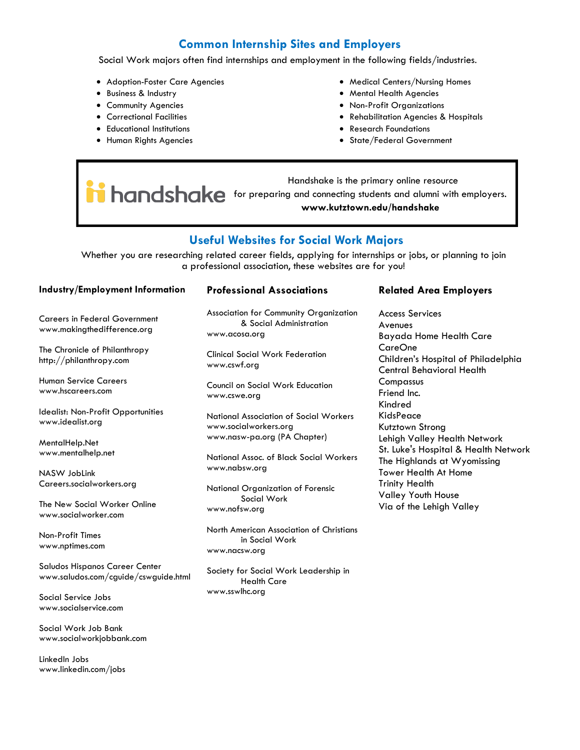# **Common Internship Sites and Employers**

Social Work majors often find internships and employment in the following fields/industries.

- Adoption-Foster Care Agencies
- Business & Industry
- Community Agencies
- Correctional Facilities
- Educational Institutions
- Human Rights Agencies
- Medical Centers/Nursing Homes
- Mental Health Agencies
- Non-Profit Organizations
- Rehabilitation Agencies & Hospitals
- Research Foundations
- State/Federal Government

 Handshake is the primary online resource **induction of the primality connections www.kutztown.edu/handshake**

# **Useful Websites for Social Work Majors**

Whether you are researching related career fields, applying for internships or jobs, or planning to join a professional association, these websites are for you!

#### **Industry/Employment Information**

Careers in Federal Government www.makingthedifference.org

The Chronicle of Philanthropy http://philanthropy.com

Human Service Careers www.hscareers.com

Idealist: Non-Profit Opportunities www.idealist.org

MentalHelp.Net www.mentalhelp.net

NASW JobLink Careers.socialworkers.org

The New Social Worker Online www.socialworker.com

Non-Profit Times www.nptimes.com

Saludos Hispanos Career Center www.saludos.com/cguide/cswguide.html

Social Service Jobs www.socialservice.com

Social Work Job Bank www.socialworkjobbank.com

LinkedIn Jobs www.linkedin.com/jobs

#### **Professional Associations**

Association for Community Organization & Social Administration www.acosa.org

Clinical Social Work Federation www.cswf.org

Council on Social Work Education www.cswe.org

National Association of Social Workers www.socialworkers.org www.nasw-pa.org (PA Chapter)

National Assoc. of Black Social Workers www.nabsw.org

National Organization of Forensic Social Work www.nofsw.org

North American Association of Christians in Social Work www.nacsw.org

Society for Social Work Leadership in Health Care www.sswlhc.org

#### **Related Area Employers**

Access Services Avenues Bayada Home Health Care CareOne Children's Hospital of Philadelphia Central Behavioral Health **Compassus** Friend Inc. Kindred KidsPeace Kutztown Strong Lehigh Valley Health Network St. Luke's Hospital & Health Network The Highlands at Wyomissing Tower Health At Home Trinity Health Valley Youth House Via of the Lehigh Valley